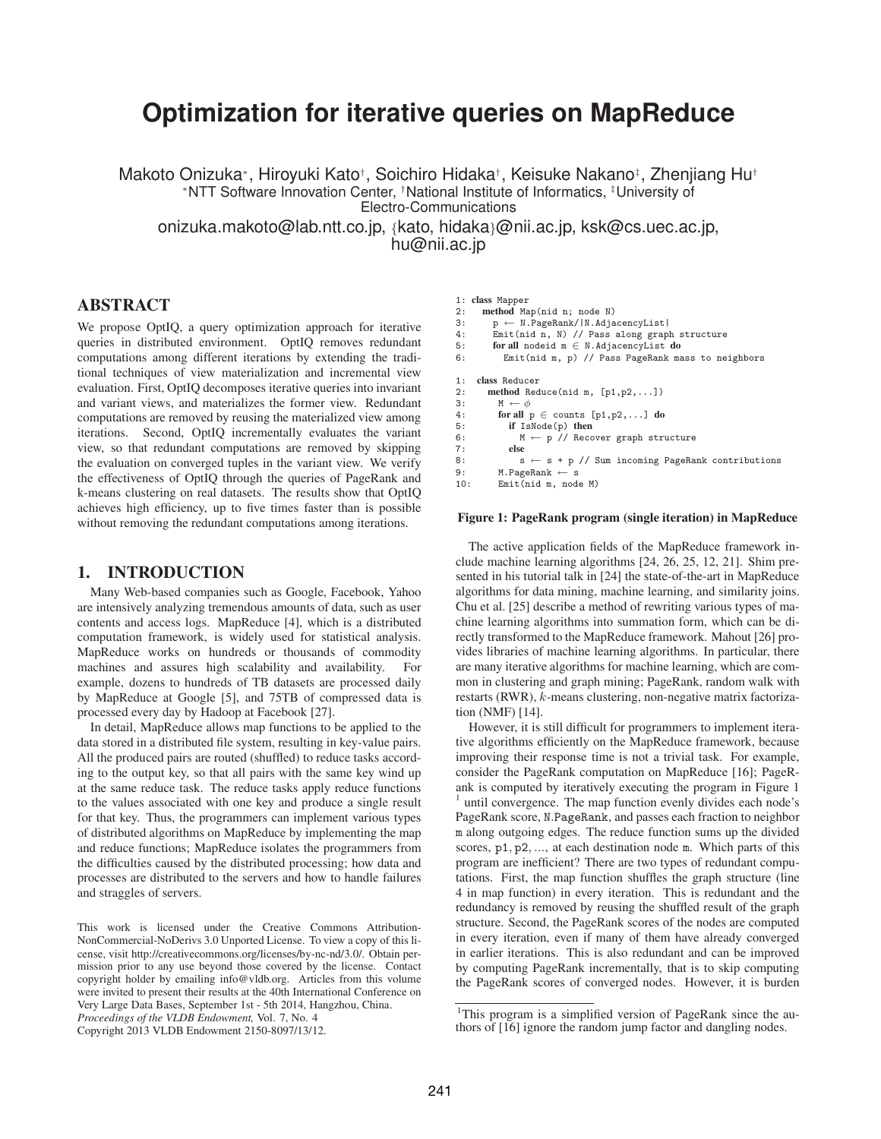# **Optimization for iterative queries on MapReduce**

Makoto Onizuka∗, Hiroyuki Kato†, Soichiro Hidaka†, Keisuke Nakano‡ , Zhenjiang Hu† <sup>∗</sup>NTT Software Innovation Center, †National Institute of Informatics, ‡University of Electro-Communications

onizuka.makoto@lab.ntt.co.jp, {kato, hidaka}@nii.ac.jp, ksk@cs.uec.ac.jp, hu@nii.ac.jp

# ABSTRACT

We propose OptIQ, a query optimization approach for iterative queries in distributed environment. OptIQ removes redundant computations among different iterations by extending the traditional techniques of view materialization and incremental view evaluation. First, OptIQ decomposes iterative queries into invariant and variant views, and materializes the former view. Redundant computations are removed by reusing the materialized view among iterations. Second, OptIQ incrementally evaluates the variant view, so that redundant computations are removed by skipping the evaluation on converged tuples in the variant view. We verify the effectiveness of OptIQ through the queries of PageRank and k-means clustering on real datasets. The results show that OptIQ achieves high efficiency, up to five times faster than is possible without removing the redundant computations among iterations.

# 1. INTRODUCTION

Many Web-based companies such as Google, Facebook, Yahoo are intensively analyzing tremendous amounts of data, such as user contents and access logs. MapReduce [4], which is a distributed computation framework, is widely used for statistical analysis. MapReduce works on hundreds or thousands of commodity machines and assures high scalability and availability. For example, dozens to hundreds of TB datasets are processed daily by MapReduce at Google [5], and 75TB of compressed data is processed every day by Hadoop at Facebook [27].

In detail, MapReduce allows map functions to be applied to the data stored in a distributed file system, resulting in key-value pairs. All the produced pairs are routed (shuffled) to reduce tasks according to the output key, so that all pairs with the same key wind up at the same reduce task. The reduce tasks apply reduce functions to the values associated with one key and produce a single result for that key. Thus, the programmers can implement various types of distributed algorithms on MapReduce by implementing the map and reduce functions; MapReduce isolates the programmers from the difficulties caused by the distributed processing; how data and processes are distributed to the servers and how to handle failures and straggles of servers.

```
1: class Mapper
2: method Map(nid n; node N)<br>3. p \leftarrow NP PageRank/IN Adja
3: p \leftarrow N.PageRank/|N.AdjacencyList|<br>4: Emit(nid n. N) // Pass along grap
          Emit(nid n, N) // Pass along graph structure
5: for all nodeid m \in N. AdjacencyList do 6: Emit(nid m. p) // Pass PageRank ma
             Emit(nid m, p) // Pass PageRank mass to neighbors
1: class Reducer<br>2: method Red
2: method Reduce(nid m, [p1,p2,...])<br>3: M \leftarrow \phi3: M \leftarrow \phi<br>4: for all \mu4: for all p \in counts [p1, p2, \ldots] do<br>5: if IsNode(p) then
               if IsNode(p) then
6: M \leftarrow p // Recover graph structure 7:
               7: else
8: s \leftarrow s + p // Sum incoming PageRank contributions<br>9: M.PageRank \leftarrow s9: M.PageRank ← s<br>10: Fmit(nid m node
            Emit(nid m, node M)
```
# Figure 1: PageRank program (single iteration) in MapReduce

The active application fields of the MapReduce framework include machine learning algorithms [24, 26, 25, 12, 21]. Shim presented in his tutorial talk in [24] the state-of-the-art in MapReduce algorithms for data mining, machine learning, and similarity joins. Chu et al. [25] describe a method of rewriting various types of machine learning algorithms into summation form, which can be directly transformed to the MapReduce framework. Mahout [26] provides libraries of machine learning algorithms. In particular, there are many iterative algorithms for machine learning, which are common in clustering and graph mining; PageRank, random walk with restarts (RWR), k-means clustering, non-negative matrix factorization (NMF) [14].

However, it is still difficult for programmers to implement iterative algorithms efficiently on the MapReduce framework, because improving their response time is not a trivial task. For example, consider the PageRank computation on MapReduce [16]; PageRank is computed by iteratively executing the program in Figure 1 <sup>1</sup> until convergence. The map function evenly divides each node's PageRank score, N.PageRank, and passes each fraction to neighbor m along outgoing edges. The reduce function sums up the divided scores, p1, p2, ..., at each destination node m. Which parts of this program are inefficient? There are two types of redundant computations. First, the map function shuffles the graph structure (line 4 in map function) in every iteration. This is redundant and the redundancy is removed by reusing the shuffled result of the graph structure. Second, the PageRank scores of the nodes are computed in every iteration, even if many of them have already converged in earlier iterations. This is also redundant and can be improved by computing PageRank incrementally, that is to skip computing the PageRank scores of converged nodes. However, it is burden

This work is licensed under the Creative Commons Attribution-NonCommercial-NoDerivs 3.0 Unported License. To view a copy of this license, visit http://creativecommons.org/licenses/by-nc-nd/3.0/. Obtain permission prior to any use beyond those covered by the license. Contact copyright holder by emailing info@vldb.org. Articles from this volume were invited to present their results at the 40th International Conference on Very Large Data Bases, September 1st - 5th 2014, Hangzhou, China.

*Proceedings of the VLDB Endowment,* Vol. 7, No. 4

Copyright 2013 VLDB Endowment 2150-8097/13/12.

<sup>&</sup>lt;sup>1</sup>This program is a simplified version of PageRank since the authors of [16] ignore the random jump factor and dangling nodes.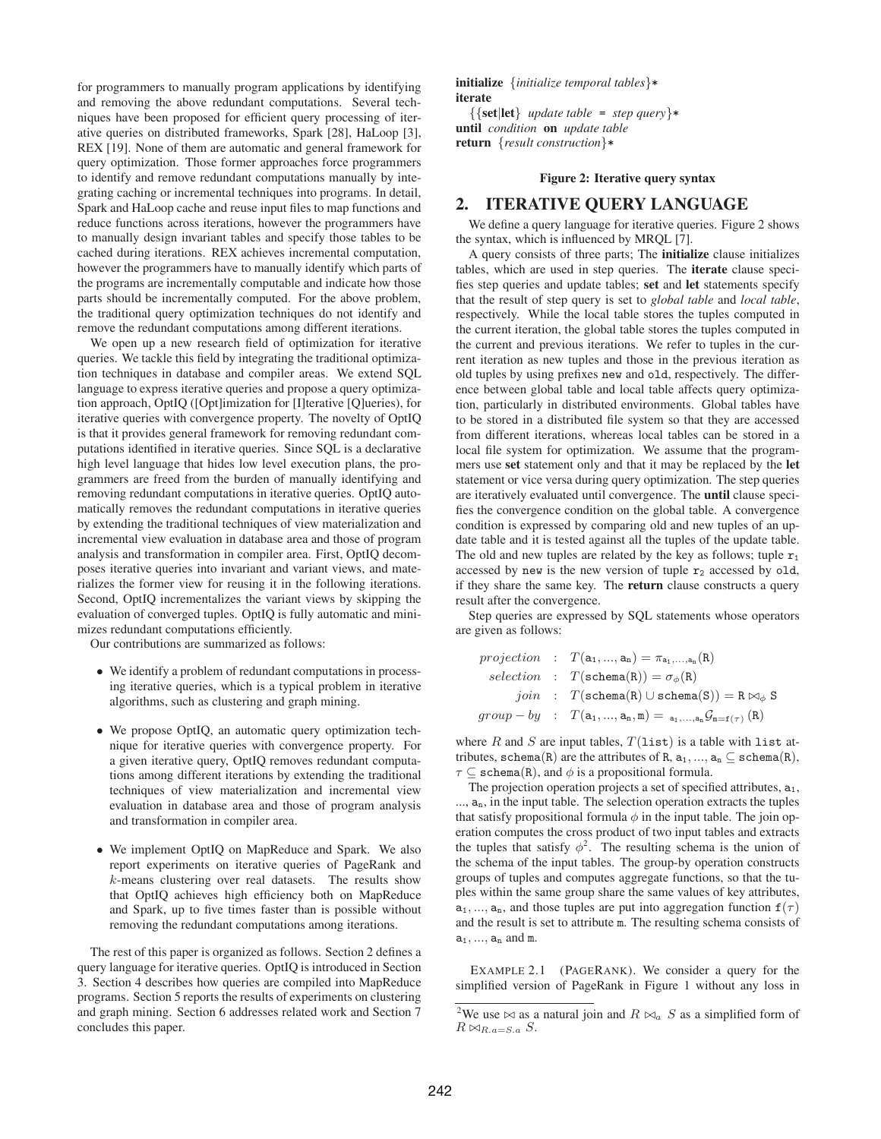for programmers to manually program applications by identifying and removing the above redundant computations. Several techniques have been proposed for efficient query processing of iterative queries on distributed frameworks, Spark [28], HaLoop [3], REX [19]. None of them are automatic and general framework for query optimization. Those former approaches force programmers to identify and remove redundant computations manually by integrating caching or incremental techniques into programs. In detail, Spark and HaLoop cache and reuse input files to map functions and reduce functions across iterations, however the programmers have to manually design invariant tables and specify those tables to be cached during iterations. REX achieves incremental computation, however the programmers have to manually identify which parts of the programs are incrementally computable and indicate how those parts should be incrementally computed. For the above problem, the traditional query optimization techniques do not identify and remove the redundant computations among different iterations.

We open up a new research field of optimization for iterative queries. We tackle this field by integrating the traditional optimization techniques in database and compiler areas. We extend SQL language to express iterative queries and propose a query optimization approach, OptIQ ([Opt]imization for [I]terative [Q]ueries), for iterative queries with convergence property. The novelty of OptIQ is that it provides general framework for removing redundant computations identified in iterative queries. Since SQL is a declarative high level language that hides low level execution plans, the programmers are freed from the burden of manually identifying and removing redundant computations in iterative queries. OptIQ automatically removes the redundant computations in iterative queries by extending the traditional techniques of view materialization and incremental view evaluation in database area and those of program analysis and transformation in compiler area. First, OptIQ decomposes iterative queries into invariant and variant views, and materializes the former view for reusing it in the following iterations. Second, OptIQ incrementalizes the variant views by skipping the evaluation of converged tuples. OptIQ is fully automatic and minimizes redundant computations efficiently.

Our contributions are summarized as follows:

- We identify a problem of redundant computations in processing iterative queries, which is a typical problem in iterative algorithms, such as clustering and graph mining.
- We propose OptIQ, an automatic query optimization technique for iterative queries with convergence property. For a given iterative query, OptIQ removes redundant computations among different iterations by extending the traditional techniques of view materialization and incremental view evaluation in database area and those of program analysis and transformation in compiler area.
- We implement OptIQ on MapReduce and Spark. We also report experiments on iterative queries of PageRank and k-means clustering over real datasets. The results show that OptIQ achieves high efficiency both on MapReduce and Spark, up to five times faster than is possible without removing the redundant computations among iterations.

The rest of this paper is organized as follows. Section 2 defines a query language for iterative queries. OptIQ is introduced in Section 3. Section 4 describes how queries are compiled into MapReduce programs. Section 5 reports the results of experiments on clustering and graph mining. Section 6 addresses related work and Section 7 concludes this paper.

initialize {*initialize temporal tables*}\* iterate

{{set|let} *update table* = *step query*}\* until *condition* on *update table* return {*result construction*}\*

#### Figure 2: Iterative query syntax

## 2. ITERATIVE QUERY LANGUAGE

We define a query language for iterative queries. Figure 2 shows the syntax, which is influenced by MRQL [7].

A query consists of three parts; The initialize clause initializes tables, which are used in step queries. The iterate clause specifies step queries and update tables; set and let statements specify that the result of step query is set to *global table* and *local table*, respectively. While the local table stores the tuples computed in the current iteration, the global table stores the tuples computed in the current and previous iterations. We refer to tuples in the current iteration as new tuples and those in the previous iteration as old tuples by using prefixes new and old, respectively. The difference between global table and local table affects query optimization, particularly in distributed environments. Global tables have to be stored in a distributed file system so that they are accessed from different iterations, whereas local tables can be stored in a local file system for optimization. We assume that the programmers use set statement only and that it may be replaced by the let statement or vice versa during query optimization. The step queries are iteratively evaluated until convergence. The until clause specifies the convergence condition on the global table. A convergence condition is expressed by comparing old and new tuples of an update table and it is tested against all the tuples of the update table. The old and new tuples are related by the key as follows; tuple  $r_1$ accessed by new is the new version of tuple  $r_2$  accessed by old, if they share the same key. The return clause constructs a query result after the convergence.

Step queries are expressed by SQL statements whose operators are given as follows:

|  | projection : $T(\mathbf{a}_1, , \mathbf{a}_n) = \pi_{\mathbf{a}_1, , \mathbf{a}_n}(\mathbf{R})$ |
|--|-------------------------------------------------------------------------------------------------|
|  | $selection : T(\texttt{scheme}(R)) = \sigma_{\phi}(R)$                                          |
|  | $join: T(\texttt{schema}(R) \cup \texttt{schema}(S)) = R \bowtie_{\phi} S$                      |
|  | $group - by : T(a_1, , a_n, m) = a_1, , a_n$ $G_{m=f(\tau)}(R)$                                 |

where  $R$  and  $S$  are input tables,  $T($ list) is a table with list attributes, schema(R) are the attributes of R,  $a_1, ..., a_n \subseteq \text{schema}(R)$ ,  $\tau \subseteq \texttt{scheme}(R)$ , and  $\phi$  is a propositional formula.

The projection operation projects a set of specified attributes,  $a_1$ ,  $..., a_n$ , in the input table. The selection operation extracts the tuples that satisfy propositional formula  $\phi$  in the input table. The join operation computes the cross product of two input tables and extracts the tuples that satisfy  $\phi^2$ . The resulting schema is the union of the schema of the input tables. The group-by operation constructs groups of tuples and computes aggregate functions, so that the tuples within the same group share the same values of key attributes,  $a_1, ..., a_n$ , and those tuples are put into aggregation function  $f(\tau)$ and the result is set to attribute m. The resulting schema consists of  $a_1, \ldots, a_n$  and m.

EXAMPLE 2.1 (PAGERANK). We consider a query for the simplified version of PageRank in Figure 1 without any loss in

<sup>&</sup>lt;sup>2</sup>We use  $\bowtie$  as a natural join and  $R \bowtie_a S$  as a simplified form of  $R \bowtie_{R.a=S.a} S.$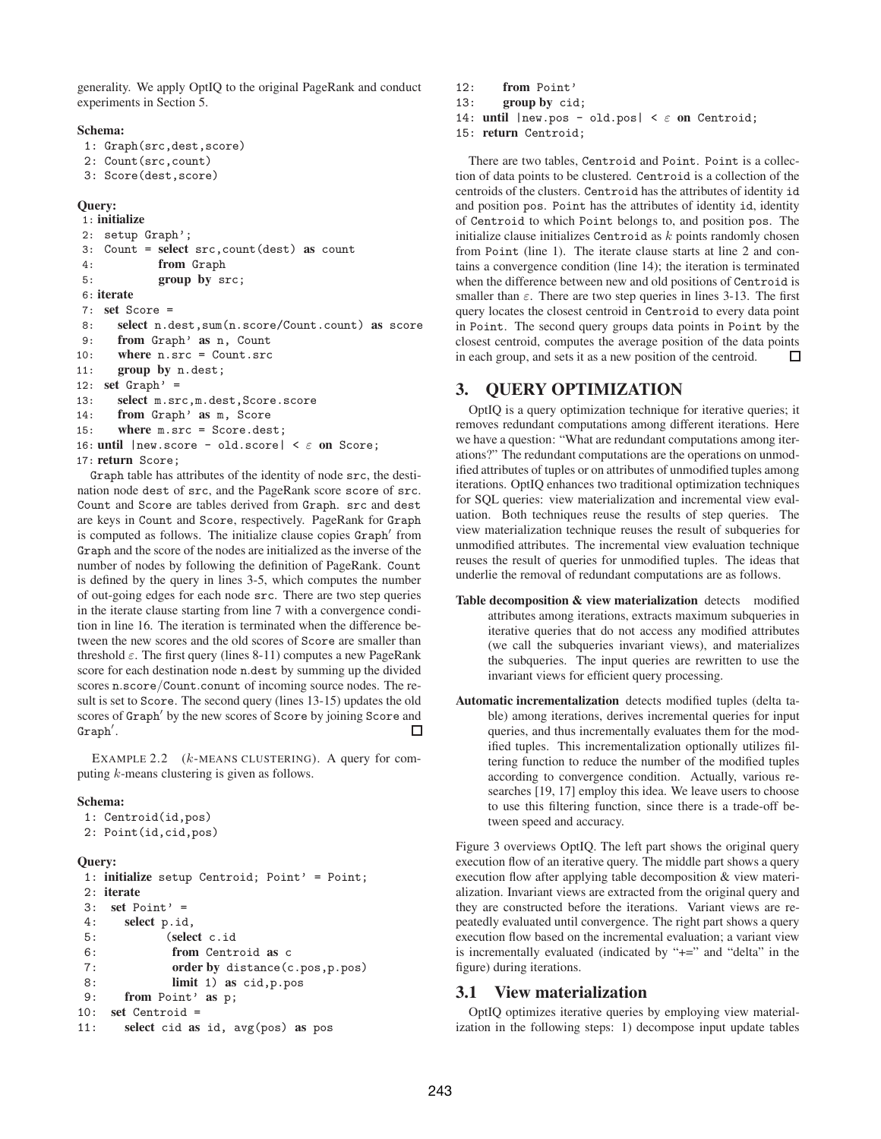generality. We apply OptIQ to the original PageRank and conduct experiments in Section 5.

#### Schema:

```
1: Graph(src,dest,score)
```
- 2: Count(src,count)
- 3: Score(dest,score)

#### Query:

```
1: initialize
```

```
2: setup Graph';
```
- 3: Count = select src,count(dest) as count
- 4: from Graph
- 5: group by src;

### 6: iterate

```
7: set Score =
```
- 8: select n.dest,sum(n.score/Count.count) as score
- 9: from Graph' as n, Count
- 10: where n.src = Count.src
- 11: group by n.dest;
- 12:  $\text{set Graph}' =$
- 13: select m.src,m.dest,Score.score
- 14: from Graph' as m, Score
- 15: where m.src = Score.dest;

```
16: until |new_score - old_score| < \varepsilon on Score;
```
17: return Score;

Graph table has attributes of the identity of node src, the destination node dest of src, and the PageRank score score of src. Count and Score are tables derived from Graph. src and dest are keys in Count and Score, respectively. PageRank for Graph is computed as follows. The initialize clause copies Graph' from Graph and the score of the nodes are initialized as the inverse of the number of nodes by following the definition of PageRank. Count is defined by the query in lines 3-5, which computes the number of out-going edges for each node src. There are two step queries in the iterate clause starting from line 7 with a convergence condition in line 16. The iteration is terminated when the difference between the new scores and the old scores of Score are smaller than threshold  $\varepsilon$ . The first query (lines 8-11) computes a new PageRank score for each destination node n.dest by summing up the divided scores n.score/Count.conunt of incoming source nodes. The result is set to Score. The second query (lines 13-15) updates the old scores of Graph' by the new scores of Score by joining Score and Graph . □

EXAMPLE 2.2 (k-MEANS CLUSTERING). A query for computing k-means clustering is given as follows.

#### Schema:

```
1: Centroid(id,pos)
```

```
2: Point(id,cid,pos)
```
# Query:

```
1: initialize setup Centroid; Point' = Point;
2: iterate
3: set Point' =
4: select p.id,
5: (select c.id
6: from Centroid as c
7: order by distance(c.pos,p.pos)
8: limit 1) as cid,p.pos
9: from Point' as p;
10: set Centroid =
11: select cid as id, avg(pos) as pos
```
- 12: from Point'
- 13: group by cid;
- 14: until  $|new.pos old.pos| < \varepsilon$  on Centroid;
- 15: return Centroid;

There are two tables, Centroid and Point. Point is a collection of data points to be clustered. Centroid is a collection of the centroids of the clusters. Centroid has the attributes of identity id and position pos. Point has the attributes of identity id, identity of Centroid to which Point belongs to, and position pos. The initialize clause initializes Centroid as  $k$  points randomly chosen from Point (line 1). The iterate clause starts at line 2 and contains a convergence condition (line 14); the iteration is terminated when the difference between new and old positions of Centroid is smaller than  $\varepsilon$ . There are two step queries in lines 3-13. The first query locates the closest centroid in Centroid to every data point in Point. The second query groups data points in Point by the closest centroid, computes the average position of the data points in each group, and sets it as a new position of the centroid.  $\Box$ 

# 3. QUERY OPTIMIZATION

OptIQ is a query optimization technique for iterative queries; it removes redundant computations among different iterations. Here we have a question: "What are redundant computations among iterations?" The redundant computations are the operations on unmodified attributes of tuples or on attributes of unmodified tuples among iterations. OptIQ enhances two traditional optimization techniques for SQL queries: view materialization and incremental view evaluation. Both techniques reuse the results of step queries. The view materialization technique reuses the result of subqueries for unmodified attributes. The incremental view evaluation technique reuses the result of queries for unmodified tuples. The ideas that underlie the removal of redundant computations are as follows.

- Table decomposition & view materialization detects modified attributes among iterations, extracts maximum subqueries in iterative queries that do not access any modified attributes (we call the subqueries invariant views), and materializes the subqueries. The input queries are rewritten to use the invariant views for efficient query processing.
- Automatic incrementalization detects modified tuples (delta table) among iterations, derives incremental queries for input queries, and thus incrementally evaluates them for the modified tuples. This incrementalization optionally utilizes filtering function to reduce the number of the modified tuples according to convergence condition. Actually, various researches [19, 17] employ this idea. We leave users to choose to use this filtering function, since there is a trade-off between speed and accuracy.

Figure 3 overviews OptIQ. The left part shows the original query execution flow of an iterative query. The middle part shows a query execution flow after applying table decomposition & view materialization. Invariant views are extracted from the original query and they are constructed before the iterations. Variant views are repeatedly evaluated until convergence. The right part shows a query execution flow based on the incremental evaluation; a variant view is incrementally evaluated (indicated by "+=" and "delta" in the figure) during iterations.

# 3.1 View materialization

OptIQ optimizes iterative queries by employing view materialization in the following steps: 1) decompose input update tables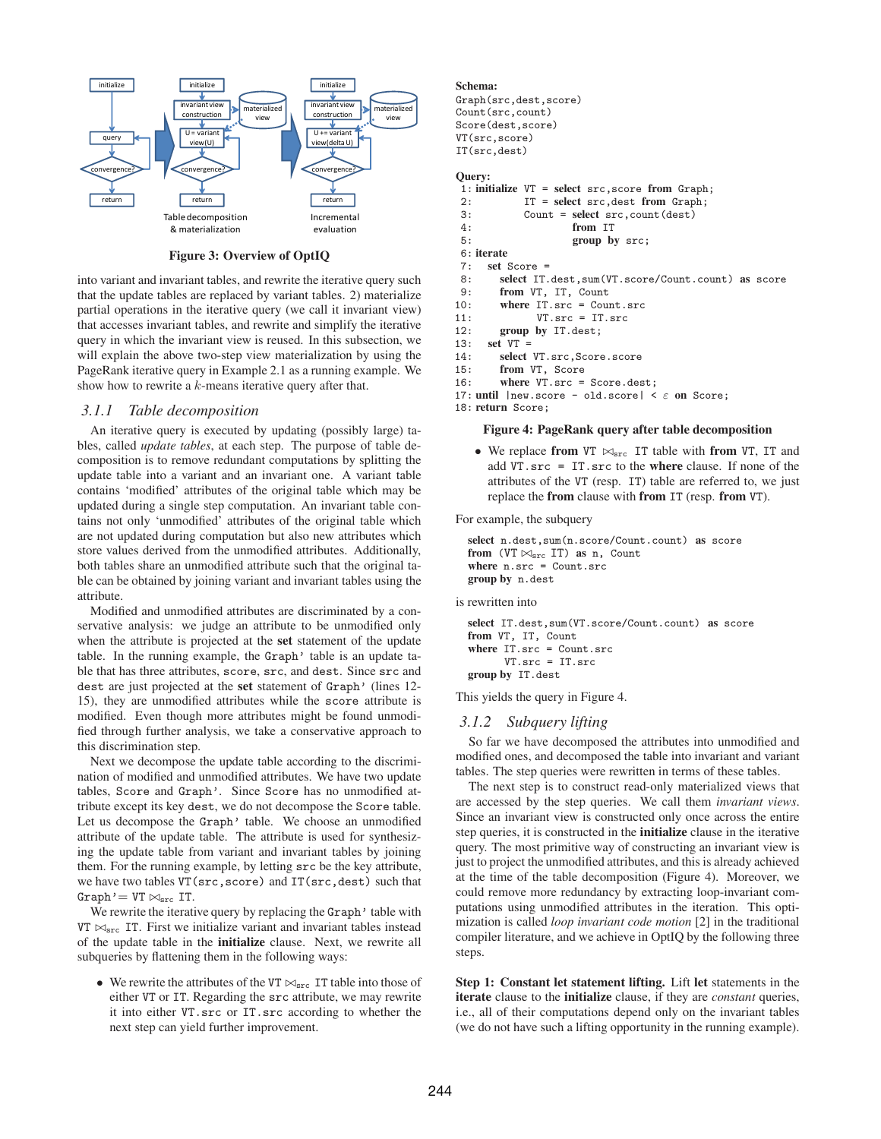

Figure 3: Overview of OptIQ

into variant and invariant tables, and rewrite the iterative query such that the update tables are replaced by variant tables. 2) materialize partial operations in the iterative query (we call it invariant view) that accesses invariant tables, and rewrite and simplify the iterative query in which the invariant view is reused. In this subsection, we will explain the above two-step view materialization by using the PageRank iterative query in Example 2.1 as a running example. We show how to rewrite a  $k$ -means iterative query after that.

# *3.1.1 Table decomposition*

An iterative query is executed by updating (possibly large) tables, called *update tables*, at each step. The purpose of table decomposition is to remove redundant computations by splitting the update table into a variant and an invariant one. A variant table contains 'modified' attributes of the original table which may be updated during a single step computation. An invariant table contains not only 'unmodified' attributes of the original table which are not updated during computation but also new attributes which store values derived from the unmodified attributes. Additionally, both tables share an unmodified attribute such that the original table can be obtained by joining variant and invariant tables using the attribute.

Modified and unmodified attributes are discriminated by a conservative analysis: we judge an attribute to be unmodified only when the attribute is projected at the set statement of the update table. In the running example, the Graph' table is an update table that has three attributes, score, src, and dest. Since src and dest are just projected at the set statement of Graph' (lines 12- 15), they are unmodified attributes while the score attribute is modified. Even though more attributes might be found unmodified through further analysis, we take a conservative approach to this discrimination step.

Next we decompose the update table according to the discrimination of modified and unmodified attributes. We have two update tables, Score and Graph'. Since Score has no unmodified attribute except its key dest, we do not decompose the Score table. Let us decompose the Graph' table. We choose an unmodified attribute of the update table. The attribute is used for synthesizing the update table from variant and invariant tables by joining them. For the running example, by letting src be the key attribute, we have two tables VT(src,score) and IT(src,dest) such that Graph' =  $VT \Join_{src} IT$ .

We rewrite the iterative query by replacing the Graph' table with VT  $\bowtie_{src}$  IT. First we initialize variant and invariant tables instead of the update table in the initialize clause. Next, we rewrite all subqueries by flattening them in the following ways:

• We rewrite the attributes of the VT  $\bowtie_{src}$  IT table into those of either VT or IT. Regarding the src attribute, we may rewrite it into either VT.src or IT.src according to whether the next step can yield further improvement.

#### Schema:

Graph(src,dest,score) Count(src,count) Score(dest,score) VT(src,score) IT(src,dest)

#### Query:

- 1: initialize  $VT = select src, score from Graph;$ <br>2:  $TT = select src.dest from Graph;$
- 2:  $IT = select src, dest from Graph;$ <br>3.  $Count = select src count(dest)$
- 3: Count = select src, count (dest)<br>4: from IT
- 4: from IT<br>5: seroup by
	- group by src;
- 6: iterate<br>7: set
- set Score =
- 8: select IT.dest,sum(VT.score/Count.count) as score
- 9: from VT, IT, Count
- 10: where IT.src = Count.src
- 11: VT.src = IT.src<br>12: **group by** IT.dest:
- group by IT.dest;
- 13: set VT =
- 14: select VT.src,Score.score
- 15: from VT, Score
- 16: where VT.src = Score.dest;
- 17: until  $|new_score old_score| < \varepsilon$  on Score;
- 
- 18: return Score;

#### Figure 4: PageRank query after table decomposition

• We replace from VT  $\bowtie_{src}$  IT table with from VT, IT and add VT.src = IT.src to the where clause. If none of the attributes of the VT (resp. IT) table are referred to, we just replace the from clause with from IT (resp. from VT).

For example, the subquery

```
select n.dest,sum(n.score/Count.count) as score
from (VT \bowtie_{src} IT) as n, Count
where n.src = Count.src
group by n.dest
```
is rewritten into

```
select IT.dest,sum(VT.score/Count.count) as score
from VT, IT, Count
where IT.src = Count.src
      VT.src = IT.src
group by IT.dest
```
This yields the query in Figure 4.

### *3.1.2 Subquery lifting*

So far we have decomposed the attributes into unmodified and modified ones, and decomposed the table into invariant and variant tables. The step queries were rewritten in terms of these tables.

The next step is to construct read-only materialized views that are accessed by the step queries. We call them *invariant views*. Since an invariant view is constructed only once across the entire step queries, it is constructed in the initialize clause in the iterative query. The most primitive way of constructing an invariant view is just to project the unmodified attributes, and this is already achieved at the time of the table decomposition (Figure 4). Moreover, we could remove more redundancy by extracting loop-invariant computations using unmodified attributes in the iteration. This optimization is called *loop invariant code motion* [2] in the traditional compiler literature, and we achieve in OptIQ by the following three steps.

Step 1: Constant let statement lifting. Lift let statements in the iterate clause to the initialize clause, if they are *constant* queries, i.e., all of their computations depend only on the invariant tables (we do not have such a lifting opportunity in the running example).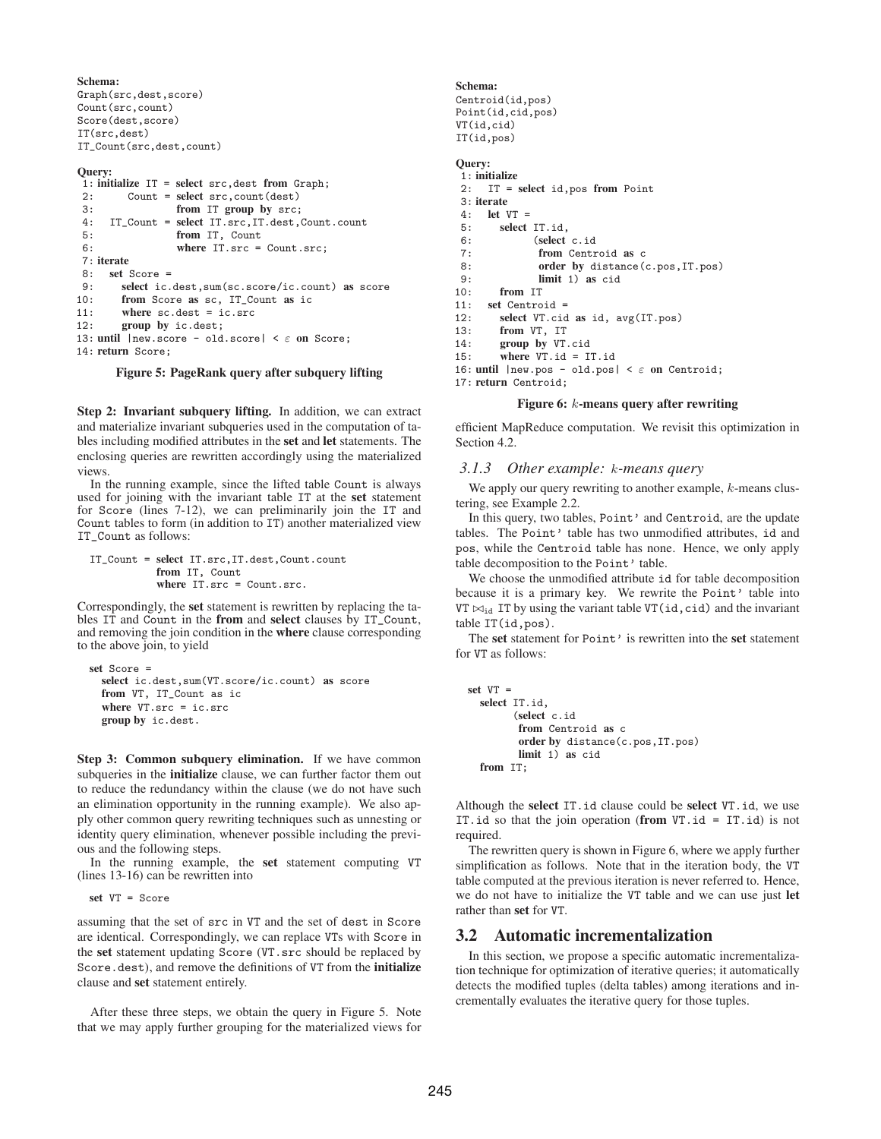#### Schema:

Graph(src,dest,score) Count(src,count) Score(dest,score) IT(src,dest) IT\_Count(src,dest,count)

#### Query:

```
1: initialize IT = select src, dest from Graph;<br>2: Count = select src, count(det)Count = select src, count(det)3: from IT group by src;
4: IT_Count = select IT.src,IT.dest,Count.count<br>5: from IT. Count
                    from IT, Count
6: where IT.src = Count.src;
7: iterate<br>8 \cdot 1set Score =
9: select ic.dest, sum(sc.score/ic.count) as score<br>10: from Score as sc. IT Count as ic
        from Score as sc, IT_Count as ic
11: where sc.dest = ic.src
12: group by ic.dest;
13: until |new_score - old_score| < \varepsilon on Score;
14: return Score;
```
#### Figure 5: PageRank query after subquery lifting

Step 2: Invariant subquery lifting. In addition, we can extract and materialize invariant subqueries used in the computation of tables including modified attributes in the set and let statements. The enclosing queries are rewritten accordingly using the materialized views.

In the running example, since the lifted table Count is always used for joining with the invariant table IT at the set statement for Score (lines 7-12), we can preliminarily join the IT and Count tables to form (in addition to IT) another materialized view IT\_Count as follows:

```
IT_Count = select IT.src,IT.dest,Count.count
           from IT, Count
           where IT.src = Count.src.
```
Correspondingly, the set statement is rewritten by replacing the tables IT and Count in the from and select clauses by IT\_Count, and removing the join condition in the where clause corresponding to the above join, to yield

```
set Score =
 select ic.dest,sum(VT.score/ic.count) as score
  from VT, IT_Count as ic
  where VT.src = ic.src
  group by ic.dest.
```
Step 3: Common subquery elimination. If we have common subqueries in the initialize clause, we can further factor them out to reduce the redundancy within the clause (we do not have such an elimination opportunity in the running example). We also apply other common query rewriting techniques such as unnesting or identity query elimination, whenever possible including the previous and the following steps.

In the running example, the set statement computing VT (lines 13-16) can be rewritten into

set VT = Score

assuming that the set of src in VT and the set of dest in Score are identical. Correspondingly, we can replace VTs with Score in the set statement updating Score (VT.src should be replaced by Score.dest), and remove the definitions of VT from the initialize clause and set statement entirely.

After these three steps, we obtain the query in Figure 5. Note that we may apply further grouping for the materialized views for

Schema: Centroid(id,pos) Point(id,cid,pos) VT(id,cid) IT(id,pos)

#### Query: 1: initialize

```
2: IT = select id,pos from Point
 3: iterate
 4: let VT =<br>5: select
        select IT.id,
 6: (select c.id<br>7: from Centr
 7: from Centroid as c<br>8: order by distance (
               order by distance(c.pos, IT.pos)
9: limit 1) as cid
10: from IT
11: set Centroid =
12: select VT.cid as id, avg(IT.pos)<br>13: from VT. TT
        from VT, IT
14: group by VT.cid
15: where VT.id = IT.id
```
16: until  $|new.pos - old.pos| < \varepsilon$  on Centroid;

```
17: return Centroid;
```
#### Figure 6: k-means query after rewriting

efficient MapReduce computation. We revisit this optimization in Section 4.2.

### *3.1.3 Other example:* k*-means query*

We apply our query rewriting to another example,  $k$ -means clustering, see Example 2.2.

In this query, two tables, Point' and Centroid, are the update tables. The Point' table has two unmodified attributes, id and pos, while the Centroid table has none. Hence, we only apply table decomposition to the Point' table.

We choose the unmodified attribute id for table decomposition because it is a primary key. We rewrite the Point' table into VT  $\bowtie$ <sub>id</sub> IT by using the variant table VT(id,cid) and the invariant table IT(id,pos).

The set statement for Point' is rewritten into the set statement for VT as follows:

```
set VT =select IT.id,
        (select c.id
         from Centroid as c
         order by distance(c.pos,IT.pos)
         limit 1) as cid
  from IT;
```
Although the select IT.id clause could be select VT.id, we use IT. id so that the join operation (from  $VT$ . id = IT. id) is not required.

The rewritten query is shown in Figure 6, where we apply further simplification as follows. Note that in the iteration body, the VT table computed at the previous iteration is never referred to. Hence, we do not have to initialize the VT table and we can use just let rather than set for VT.

### 3.2 Automatic incrementalization

In this section, we propose a specific automatic incrementalization technique for optimization of iterative queries; it automatically detects the modified tuples (delta tables) among iterations and incrementally evaluates the iterative query for those tuples.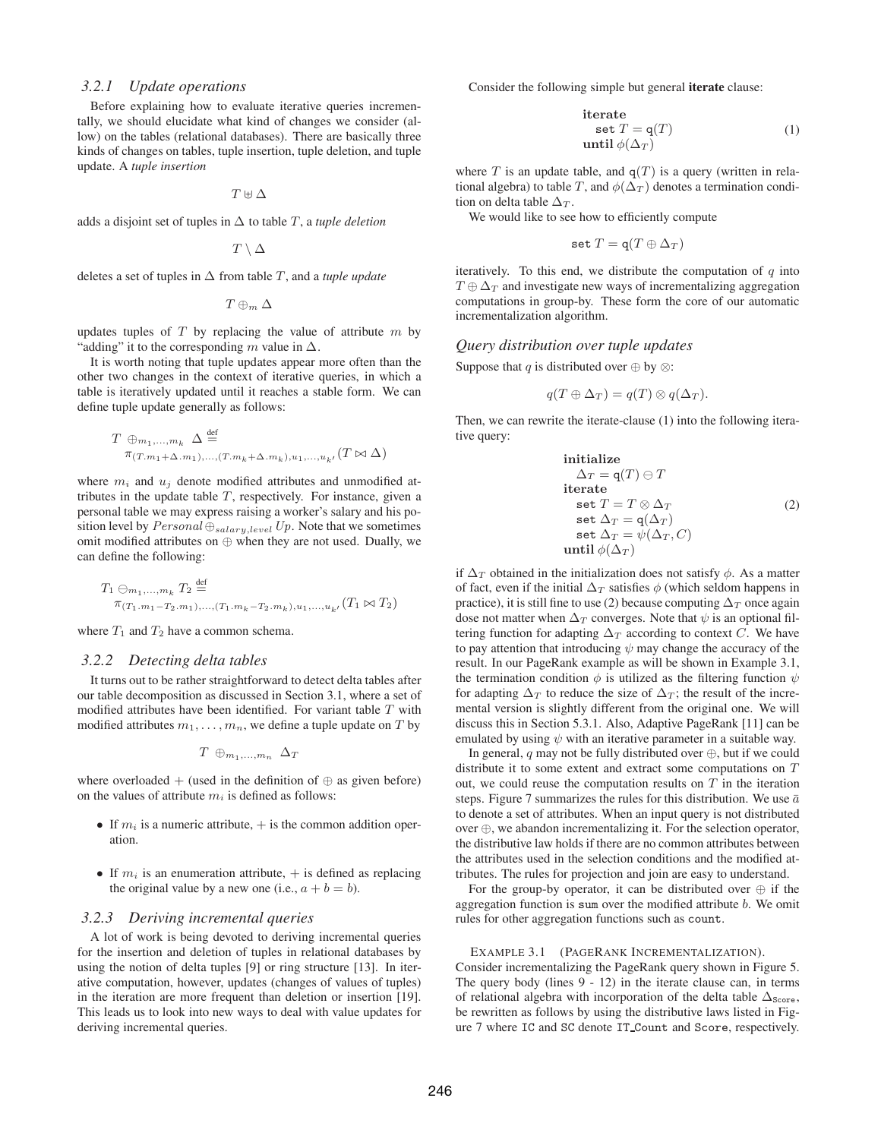### *3.2.1 Update operations*

Before explaining how to evaluate iterative queries incrementally, we should elucidate what kind of changes we consider (allow) on the tables (relational databases). There are basically three kinds of changes on tables, tuple insertion, tuple deletion, and tuple update. A *tuple insertion*

$$
T \uplus \Delta
$$

adds a disjoint set of tuples in  $\Delta$  to table T, a *tuple deletion* 

$$
T\setminus \Delta
$$

deletes a set of tuples in Δ from table T, and a *tuple update*

$$
T\oplus_m\Delta
$$

updates tuples of  $T$  by replacing the value of attribute  $m$  by "adding" it to the corresponding m value in  $\Delta$ .

It is worth noting that tuple updates appear more often than the other two changes in the context of iterative queries, in which a table is iteratively updated until it reaches a stable form. We can define tuple update generally as follows:

$$
T \bigoplus_{m_1,\dots,m_k} \Delta \stackrel{\text{def}}{=} \n\pi_{(T,m_1+\Delta,m_1),\dots,(T,m_k+\Delta,m_k),u_1,\dots,u_{k'}}(T \bowtie \Delta)
$$

where  $m_i$  and  $u_j$  denote modified attributes and unmodified attributes in the update table  $T$ , respectively. For instance, given a personal table we may express raising a worker's salary and his position level by  $Personal \bigoplus_{salary, level} Up$ . Note that we sometimes omit modified attributes on ⊕ when they are not used. Dually, we can define the following:

$$
T_1 \ominus_{m_1, \dots, m_k} T_2 \stackrel{\text{def}}{=} \n\pi_{(T_1, m_1 - T_2, m_1), \dots, (T_1, m_k - T_2, m_k), u_1, \dots, u_{k'}}(T_1 \bowtie T_2)
$$

where  $T_1$  and  $T_2$  have a common schema.

#### *3.2.2 Detecting delta tables*

It turns out to be rather straightforward to detect delta tables after our table decomposition as discussed in Section 3.1, where a set of modified attributes have been identified. For variant table  $T$  with modified attributes  $m_1, \ldots, m_n$ , we define a tuple update on T by

$$
T \oplus_{m_1,\ldots,m_n} \Delta_T
$$

where overloaded + (used in the definition of  $\oplus$  as given before) on the values of attribute  $m_i$  is defined as follows:

- If  $m_i$  is a numeric attribute,  $+$  is the common addition operation.
- If  $m_i$  is an enumeration attribute,  $+$  is defined as replacing the original value by a new one (i.e.,  $a + b = b$ ).

### *3.2.3 Deriving incremental queries*

A lot of work is being devoted to deriving incremental queries for the insertion and deletion of tuples in relational databases by using the notion of delta tuples [9] or ring structure [13]. In iterative computation, however, updates (changes of values of tuples) in the iteration are more frequent than deletion or insertion [19]. This leads us to look into new ways to deal with value updates for deriving incremental queries.

Consider the following simple but general iterate clause:

$$
\begin{array}{ll}\n\text{iterate} \\
\text{set } T = \mathsf{q}(T) \\
\text{until } \phi(\Delta_T)\n\end{array} \tag{1}
$$

where T is an update table, and  $q(T)$  is a query (written in relational algebra) to table T, and  $\phi(\Delta_T)$  denotes a termination condition on delta table  $\Delta_T$ .

We would like to see how to efficiently compute

$$
\texttt{set }T = \texttt{q}(T \oplus \Delta_T)
$$

iteratively. To this end, we distribute the computation of  $q$  into  $T \oplus \Delta_T$  and investigate new ways of incrementalizing aggregation computations in group-by. These form the core of our automatic incrementalization algorithm.

### *Query distribution over tuple updates*

Suppose that q is distributed over  $\oplus$  by  $\otimes$ :

$$
q(T \oplus \Delta_T) = q(T) \otimes q(\Delta_T).
$$

Then, we can rewrite the iterate-clause (1) into the following iterative query:

$$
\begin{array}{ll}\n\text{initialize} \\
\Delta_T = \mathsf{q}(T) \ominus T \\
\text{iterate} \\
\text{set } T = T \otimes \Delta_T \\
\text{set } \Delta_T = \mathsf{q}(\Delta_T) \\
\text{set } \Delta_T = \psi(\Delta_T, C) \\
\text{until } \phi(\Delta_T)\n\end{array} \tag{2}
$$

if  $\Delta_T$  obtained in the initialization does not satisfy  $\phi$ . As a matter of fact, even if the initial  $\Delta_T$  satisfies  $\phi$  (which seldom happens in practice), it is still fine to use (2) because computing  $\Delta_T$  once again dose not matter when  $\Delta_T$  converges. Note that  $\psi$  is an optional filtering function for adapting  $\Delta_T$  according to context C. We have to pay attention that introducing  $\psi$  may change the accuracy of the result. In our PageRank example as will be shown in Example 3.1, the termination condition  $\phi$  is utilized as the filtering function  $\psi$ for adapting  $\Delta_T$  to reduce the size of  $\Delta_T$ ; the result of the incremental version is slightly different from the original one. We will discuss this in Section 5.3.1. Also, Adaptive PageRank [11] can be emulated by using  $\psi$  with an iterative parameter in a suitable way.

In general, q may not be fully distributed over  $\oplus$ , but if we could distribute it to some extent and extract some computations on T out, we could reuse the computation results on  $T$  in the iteration steps. Figure 7 summarizes the rules for this distribution. We use  $\bar{a}$ to denote a set of attributes. When an input query is not distributed over ⊕, we abandon incrementalizing it. For the selection operator, the distributive law holds if there are no common attributes between the attributes used in the selection conditions and the modified attributes. The rules for projection and join are easy to understand.

For the group-by operator, it can be distributed over  $\oplus$  if the aggregation function is sum over the modified attribute b. We omit rules for other aggregation functions such as count.

#### EXAMPLE 3.1 (PAGERANK INCREMENTALIZATION).

Consider incrementalizing the PageRank query shown in Figure 5. The query body (lines 9 - 12) in the iterate clause can, in terms of relational algebra with incorporation of the delta table  $\Delta_{\text{Score}}$ , be rewritten as follows by using the distributive laws listed in Figure 7 where IC and SC denote IT Count and Score, respectively.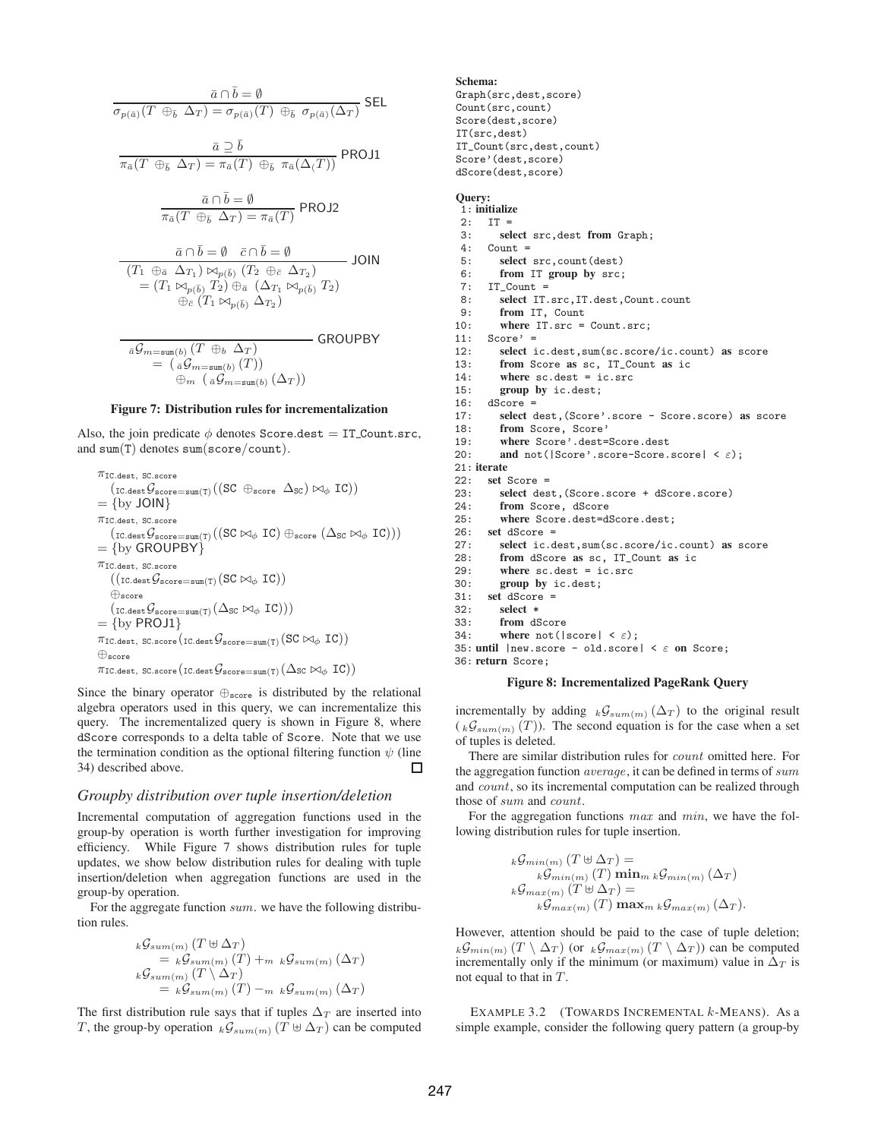$$
\frac{\bar{a} \cap \bar{b} = \emptyset}{\sigma_{p(\bar{a})}(T \oplus_{\bar{b}} \Delta_T) = \sigma_{p(\bar{a})}(T) \oplus_{\bar{b}} \sigma_{p(\bar{a})}(\Delta_T)}
$$
SEL

$$
\frac{\bar{a} \supseteq \bar{b}}{\pi_{\bar{a}}(T \oplus_{\bar{b}} \Delta_T) = \pi_{\bar{a}}(T) \oplus_{\bar{b}} \pi_{\bar{a}}(\Delta(T))}
$$
PROJ1

$$
\frac{\bar{a}\cap \bar{b}=\emptyset}{\pi_{\bar{a}}(T\ \oplus_{\bar{b}}\ \Delta_T)=\pi_{\bar{a}}(T)}\ \text{PROJ2}
$$

$$
\frac{\bar{a}\cap\bar{b}=\emptyset \quad \bar{c}\cap\bar{b}=\emptyset}{(T_1\oplus_{\bar{a}}\Delta_{T_1})\bowtie_{p(\bar{b})}(T_2\oplus_{\bar{c}}\Delta_{T_2})}
$$
 JOIN  
=  $(T_1\bowtie_{p(\bar{b})}T_2)\oplus_{\bar{a}}(\Delta_{T_1}\bowtie_{p(\bar{b})}T_2)$   
 $\oplus_{\bar{c}}(T_1\bowtie_{p(\bar{b})}\Delta_{T_2})$ 

$$
\bar{a}\mathcal{G}_{m=\text{sum}(b)}(T \oplus_b \Delta_T)
$$
\n
$$
= (\bar{a}\mathcal{G}_{m=\text{sum}(b)}(T))
$$
\n
$$
\oplus_m (\bar{a}\mathcal{G}_{m=\text{sum}(b)}(\Delta_T))
$$

#### Figure 7: Distribution rules for incrementalization

Also, the join predicate  $\phi$  denotes Score.dest = IT\_Count.src, and sum(T) denotes sum(score/count).

$$
\begin{array}{l} \pi_{\mathrm{IC.dest}}, \mathrm{sc}.\mathrm{score} \\ \quad \ \ \left(\mathrm{IC.dest}\mathcal{G}_{\mathrm{score}=\mathrm{sum}(T)}\big(\left(\mathrm{SC~\oplus_{\mathrm{score}}\ \Delta_{\mathrm{SC}}}\right)\bowtie_{\phi}\ \mathrm{IC}\big)\right) \\ = \left\{\mathrm{by~JOIN}\right\} \\ \pi_{\mathrm{IC.dest},\ \mathrm{SC}.\mathrm{score}} \\ \quad \ \left(\mathrm{IC.dest}\mathcal{G}_{\mathrm{score}=\mathrm{sum}(T)}\big(\left(\mathrm{SC~\boxtimes_{\phi}\ IC}\right)\oplus_{\mathrm{score}}\left(\Delta_{\mathrm{SC~\boxtimes_{\phi}\ IC}}\right)\right)\right) \\ = \left\{\mathrm{by~GROUPBY}\right\} \\ \pi_{\mathrm{IC.dest},\ \mathrm{SC}.\mathrm{score}} \\ \quad \ \left(\left(\mathrm{IC.dest}\mathcal{G}_{\mathrm{score}=\mathrm{sum}(T)}\left(\mathrm{SC~\boxtimes_{\phi}\ IC}\right)\right)\right) \\ \quad \ \oplus_{\mathrm{score}} \\ \quad \ \left(\mathrm{IC.dest}\mathcal{G}_{\mathrm{score}=\mathrm{sum}(T)}\left(\Delta_{\mathrm{SC~\boxtimes_{\phi}\ IC}}\right)\right)\right) \\ = \left\{\mathrm{by~PROJ1}\right\} \\ \pi_{\mathrm{IC.dest},\ \mathrm{SC}.\mathrm{score}\left(\mathrm{IC.dest}\mathcal{G}_{\mathrm{score}=\mathrm{sum}(T)}\left(\Delta_{\mathrm{SC~\boxtimes_{\phi}\ IC}}\right)\right) \\ \quad \ \oplus_{\mathrm{score}} \\ \pi_{\mathrm{IC.dest},\ \mathrm{SC}.\mathrm{score}\left(\mathrm{IC.dest}\mathcal{G}_{\mathrm{score}=\mathrm{sum}(T)}\left(\Delta_{\mathrm{SC~\boxtimes_{\phi}\ IC}}\right)\right)\end{array}
$$

Since the binary operator  $\bigoplus_{\text{score}}$  is distributed by the relational algebra operators used in this query, we can incrementalize this query. The incrementalized query is shown in Figure 8, where dScore corresponds to a delta table of Score. Note that we use the termination condition as the optional filtering function  $\psi$  (line 34) described above. □

#### *Groupby distribution over tuple insertion/deletion*

Incremental computation of aggregation functions used in the group-by operation is worth further investigation for improving efficiency. While Figure 7 shows distribution rules for tuple updates, we show below distribution rules for dealing with tuple insertion/deletion when aggregation functions are used in the group-by operation.

For the aggregate function *sum*. we have the following distribution rules.

$$
\begin{array}{l} {}_{k}\mathcal{G}_{sum(m)}(T\uplus\Delta_{T})\\ \phantom{=}=\phantom{}_{k}\mathcal{G}_{sum(m)}(T)+_{m}\phantom{}_{k}\mathcal{G}_{sum(m)}(\Delta_{T})\\ \phantom{=}K\mathcal{G}_{sum(m)}(T\setminus\Delta_{T})\\ \phantom{=}=\phantom{}_{k}\mathcal{G}_{sum(m)}(T)-_{m}\phantom{}_{k}\mathcal{G}_{sum(m)}(\Delta_{T}) \end{array}
$$

The first distribution rule says that if tuples  $\Delta_T$  are inserted into T, the group-by operation  $_k \mathcal{G}_{sum(m)}$  (T  $\oplus \Delta_T$ ) can be computed

Schema:

Graph(src,dest,score) Count(src,count) Score(dest,score) IT(src,dest) IT\_Count(src,dest,count) Score'(dest,score) dScore(dest,score)

#### Ouerv: 1: initialize

- 
- $2:$  IT =<br>3:  $\text{sel}$ select src, dest from Graph;
- 4: Count =
- 
- 5: select src, count (dest)<br>6: from IT group by src; from IT group by src;
- $7:$  IT\_Count =<br>8: select IT.
- 8: select IT.src, IT.dest, Count.count<br>9: from IT. Count
- 9: from IT, Count<br>10: where IT.src =
- 10: where  $IT.src = Count.src;$ <br>11:  $Score' =$
- $Score' =$
- 12: select ic.dest, sum(sc.score/ic.count) as score<br>13: from Score as sc. IT Count as ic
	- from Score as sc, IT\_Count as ic
- 14: where sc.dest = ic.src
- 15: group by ic.dest;<br>16: dScore =
- $dScore =$
- 17: select dest,(Score'.score Score.score) as score
- 18: from Score, Score'
- 19: where Score'.dest=Score.dest
- 20: and not( $|Score$ '.score-Score.score $| \leq \varepsilon$ );
- 21: iterate
- 22: set Score =
- 23: select dest,(Score.score + dScore.score)
- 24: from Score, dScore<br>25: where Score.dest=d
- 25: where Score.dest=dScore.dest;<br>26: set dScore =
- 26: set dScore =<br>27: select ic d
- 27: select ic.dest, sum(sc.score/ic.count) as score<br>28: from dScore as sc. IT Count as ic
- 28: from dScore as sc, IT\_Count as ic<br>29: where sc.dest = ic.src
- 29: where  $\text{sc.dest} = \text{ic.src}$ <br>30:  $\text{oroun by ic dest}$
- 30: group by  $ic.\text{dest};$ <br>31: set dScore =
- $31:$  set dScore =<br> $32:$  select  $*$
- 32: select \*<br>33: **from** ds
- 33: from dScore<br>34: where not(
- where not( $|score| < \varepsilon$ );
- 35: until |new.score old.score| < ε on Score;
- 36: return Score;

#### Figure 8: Incrementalized PageRank Query

incrementally by adding  $_k \mathcal{G}_{sum(m)}(\Delta_T)$  to the original result  $(k\mathcal{G}_{sum(m)}(T))$ . The second equation is for the case when a set of tuples is deleted.

There are similar distribution rules for *count* omitted here. For the aggregation function *average*, it can be defined in terms of *sum* and *count*, so its incremental computation can be realized through those of *sum* and *count*.

For the aggregation functions *max* and *min*, we have the following distribution rules for tuple insertion.

$$
k\mathcal{G}_{min(m)}(T \boxplus \Delta_T) =
$$
  
\n
$$
k\mathcal{G}_{min(m)}(T) \min_{m} k\mathcal{G}_{min(m)}(\Delta_T)
$$
  
\n
$$
k\mathcal{G}_{max(m)}(T \boxplus \Delta_T) =
$$
  
\n
$$
k\mathcal{G}_{max(m)}(T) \max_{m} k\mathcal{G}_{max(m)}(\Delta_T).
$$

However, attention should be paid to the case of tuple deletion;  $k\mathcal{G}_{min(m)}(T \setminus \Delta_T)$  (or  $k\mathcal{G}_{max(m)}(T \setminus \Delta_T)$ ) can be computed incrementally only if the minimum (or maximum) value in  $\Delta_T$  is not equal to that in T.

EXAMPLE 3.2 (TOWARDS INCREMENTAL  $k$ -MEANS). As a simple example, consider the following query pattern (a group-by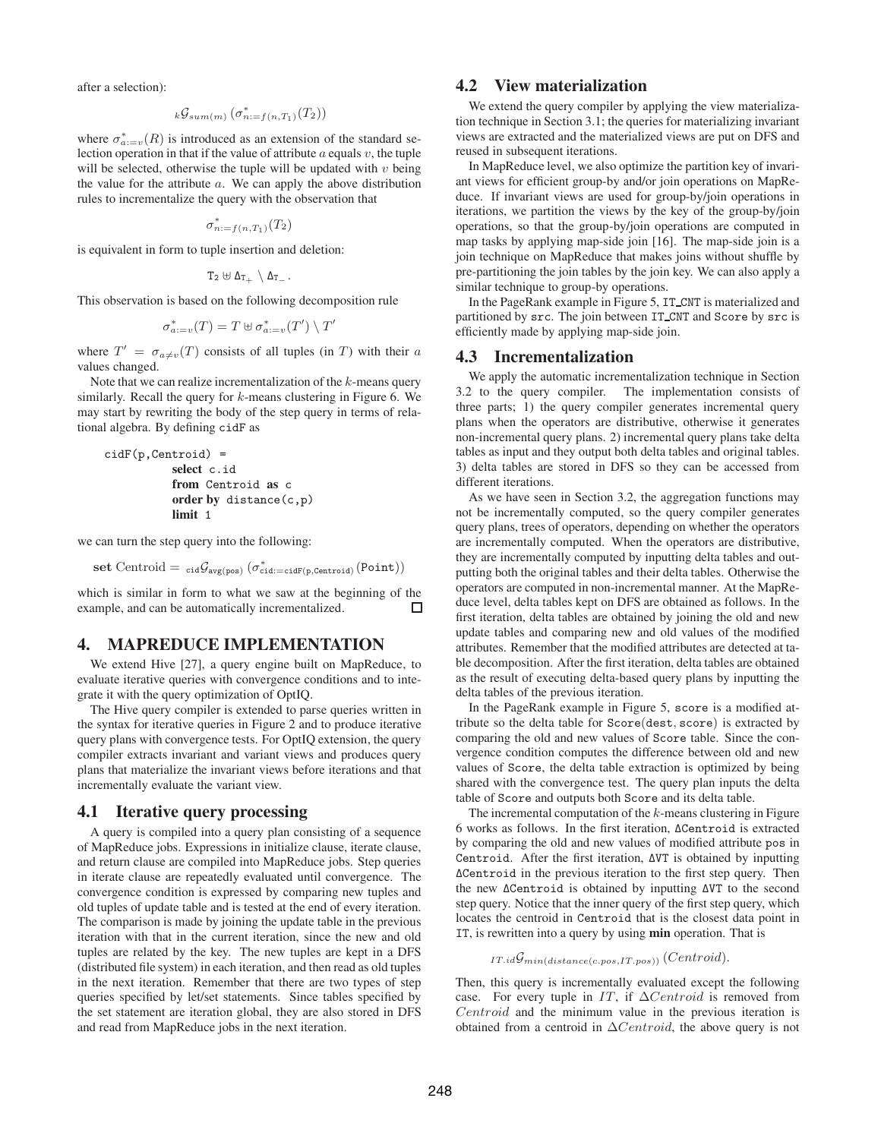after a selection):

$$
_{k}\mathcal{G}_{sum(m)}\left( \sigma _{n:=f\left( n,T_{1}\right) }^{\ast }(T_{2})\right)
$$

where  $\sigma_{a:=v}^*(R)$  is introduced as an extension of the standard selection operation in that if the value of attribute  $a$  equals  $v$ , the tuple will be selected, otherwise the tuple will be updated with  $v$  being the value for the attribute  $a$ . We can apply the above distribution rules to incrementalize the query with the observation that

$$
\sigma_{n:=f(n,T_1)}^*(T_2)
$$

is equivalent in form to tuple insertion and deletion:

$$
T_2\uplus \Delta_{T_+}\setminus \Delta_{T_-}\,.
$$

This observation is based on the following decomposition rule

$$
\sigma_{a:=v}^*(T) = T \uplus \sigma_{a:=v}^*(T') \setminus T'
$$

where  $T' = \sigma_{a \neq v}(T)$  consists of all tuples (in T) with their a values changed.

Note that we can realize incrementalization of the  $k$ -means query similarly. Recall the query for  $k$ -means clustering in Figure 6. We may start by rewriting the body of the step query in terms of relational algebra. By defining cidF as

```
cidF(p,Centroid) =
          select c.id
          from Centroid as c
          order by distance(c,p)
          limit 1
```
we can turn the step query into the following:

```
set Centroid = _{\text{cid}}\mathcal{G}_{\text{avg(pos)}}(\sigma_{\text{cid}:=\text{cidF(p,Centroid)}}^{*}(\text{Point}))
```
which is similar in form to what we saw at the beginning of the example, and can be automatically incrementalized.  $\Box$ 

# 4. MAPREDUCE IMPLEMENTATION

We extend Hive [27], a query engine built on MapReduce, to evaluate iterative queries with convergence conditions and to integrate it with the query optimization of OptIQ.

The Hive query compiler is extended to parse queries written in the syntax for iterative queries in Figure 2 and to produce iterative query plans with convergence tests. For OptIQ extension, the query compiler extracts invariant and variant views and produces query plans that materialize the invariant views before iterations and that incrementally evaluate the variant view.

### 4.1 Iterative query processing

A query is compiled into a query plan consisting of a sequence of MapReduce jobs. Expressions in initialize clause, iterate clause, and return clause are compiled into MapReduce jobs. Step queries in iterate clause are repeatedly evaluated until convergence. The convergence condition is expressed by comparing new tuples and old tuples of update table and is tested at the end of every iteration. The comparison is made by joining the update table in the previous iteration with that in the current iteration, since the new and old tuples are related by the key. The new tuples are kept in a DFS (distributed file system) in each iteration, and then read as old tuples in the next iteration. Remember that there are two types of step queries specified by let/set statements. Since tables specified by the set statement are iteration global, they are also stored in DFS and read from MapReduce jobs in the next iteration.

# 4.2 View materialization

We extend the query compiler by applying the view materialization technique in Section 3.1; the queries for materializing invariant views are extracted and the materialized views are put on DFS and reused in subsequent iterations.

In MapReduce level, we also optimize the partition key of invariant views for efficient group-by and/or join operations on MapReduce. If invariant views are used for group-by/join operations in iterations, we partition the views by the key of the group-by/join operations, so that the group-by/join operations are computed in map tasks by applying map-side join [16]. The map-side join is a join technique on MapReduce that makes joins without shuffle by pre-partitioning the join tables by the join key. We can also apply a similar technique to group-by operations.

In the PageRank example in Figure 5, IT CNT is materialized and partitioned by src. The join between IT CNT and Score by src is efficiently made by applying map-side join.

# 4.3 Incrementalization

We apply the automatic incrementalization technique in Section 3.2 to the query compiler. The implementation consists of three parts; 1) the query compiler generates incremental query plans when the operators are distributive, otherwise it generates non-incremental query plans. 2) incremental query plans take delta tables as input and they output both delta tables and original tables. 3) delta tables are stored in DFS so they can be accessed from different iterations.

As we have seen in Section 3.2, the aggregation functions may not be incrementally computed, so the query compiler generates query plans, trees of operators, depending on whether the operators are incrementally computed. When the operators are distributive, they are incrementally computed by inputting delta tables and outputting both the original tables and their delta tables. Otherwise the operators are computed in non-incremental manner. At the MapReduce level, delta tables kept on DFS are obtained as follows. In the first iteration, delta tables are obtained by joining the old and new update tables and comparing new and old values of the modified attributes. Remember that the modified attributes are detected at table decomposition. After the first iteration, delta tables are obtained as the result of executing delta-based query plans by inputting the delta tables of the previous iteration.

In the PageRank example in Figure 5, score is a modified attribute so the delta table for Score(dest, score) is extracted by comparing the old and new values of Score table. Since the convergence condition computes the difference between old and new values of Score, the delta table extraction is optimized by being shared with the convergence test. The query plan inputs the delta table of Score and outputs both Score and its delta table.

The incremental computation of the  $k$ -means clustering in Figure 6 works as follows. In the first iteration, ΔCentroid is extracted by comparing the old and new values of modified attribute pos in Centroid. After the first iteration, ΔVT is obtained by inputting ΔCentroid in the previous iteration to the first step query. Then the new ΔCentroid is obtained by inputting ΔVT to the second step query. Notice that the inner query of the first step query, which locates the centroid in Centroid that is the closest data point in IT, is rewritten into a query by using min operation. That is

 $IT.idG_{min(distance(c.pos, IT.pos))}$  (Centroid).

Then, this query is incrementally evaluated except the following case. For every tuple in IT, if  $\Delta Centroid$  is removed from Centroid and the minimum value in the previous iteration is obtained from a centroid in  $\Delta Centroid$ , the above query is not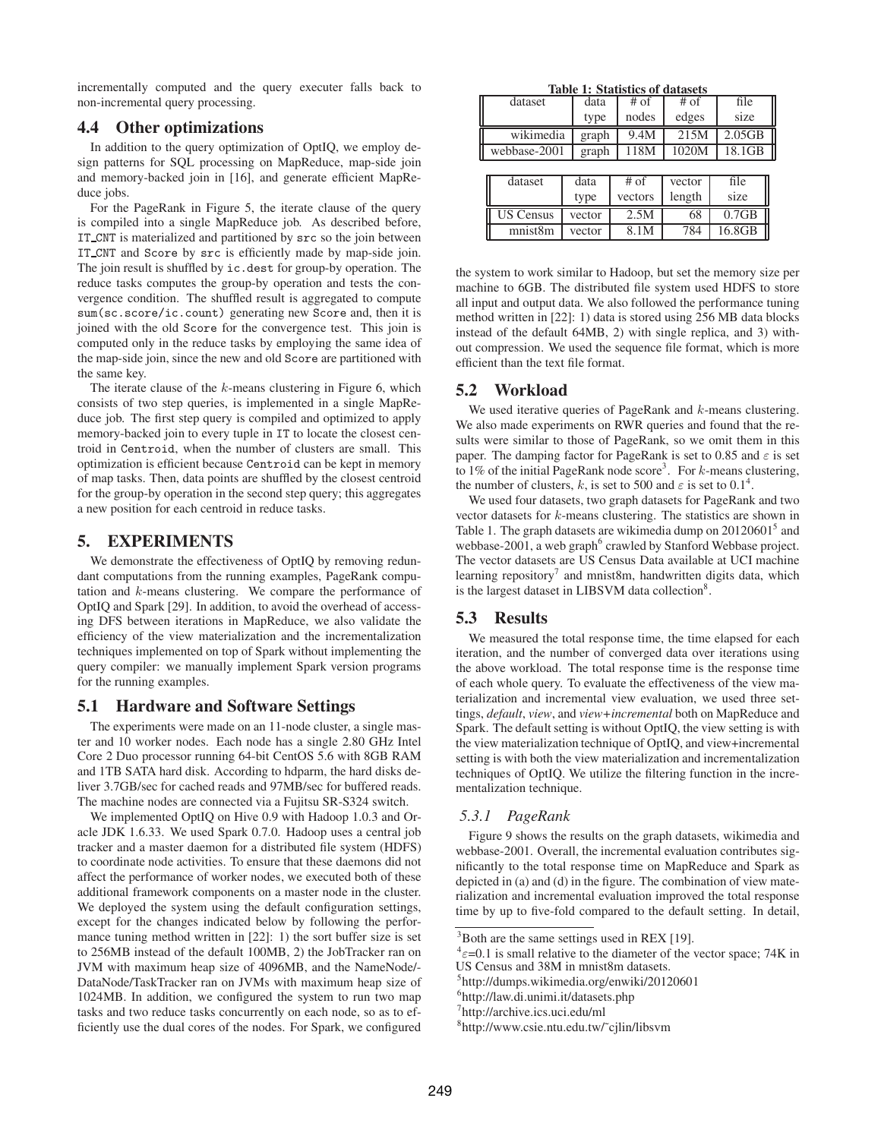incrementally computed and the query executer falls back to non-incremental query processing.

# 4.4 Other optimizations

In addition to the query optimization of OptIQ, we employ design patterns for SQL processing on MapReduce, map-side join and memory-backed join in [16], and generate efficient MapReduce jobs.

For the PageRank in Figure 5, the iterate clause of the query is compiled into a single MapReduce job. As described before, IT CNT is materialized and partitioned by src so the join between IT CNT and Score by src is efficiently made by map-side join. The join result is shuffled by ic.dest for group-by operation. The reduce tasks computes the group-by operation and tests the convergence condition. The shuffled result is aggregated to compute sum(sc.score/ic.count) generating new Score and, then it is joined with the old Score for the convergence test. This join is computed only in the reduce tasks by employing the same idea of the map-side join, since the new and old Score are partitioned with the same key.

The iterate clause of the  $k$ -means clustering in Figure 6, which consists of two step queries, is implemented in a single MapReduce job. The first step query is compiled and optimized to apply memory-backed join to every tuple in IT to locate the closest centroid in Centroid, when the number of clusters are small. This optimization is efficient because Centroid can be kept in memory of map tasks. Then, data points are shuffled by the closest centroid for the group-by operation in the second step query; this aggregates a new position for each centroid in reduce tasks.

# 5. EXPERIMENTS

We demonstrate the effectiveness of OptIQ by removing redundant computations from the running examples, PageRank computation and k-means clustering. We compare the performance of OptIQ and Spark [29]. In addition, to avoid the overhead of accessing DFS between iterations in MapReduce, we also validate the efficiency of the view materialization and the incrementalization techniques implemented on top of Spark without implementing the query compiler: we manually implement Spark version programs for the running examples.

# 5.1 Hardware and Software Settings

The experiments were made on an 11-node cluster, a single master and 10 worker nodes. Each node has a single 2.80 GHz Intel Core 2 Duo processor running 64-bit CentOS 5.6 with 8GB RAM and 1TB SATA hard disk. According to hdparm, the hard disks deliver 3.7GB/sec for cached reads and 97MB/sec for buffered reads. The machine nodes are connected via a Fujitsu SR-S324 switch.

We implemented OptIQ on Hive 0.9 with Hadoop 1.0.3 and Oracle JDK 1.6.33. We used Spark 0.7.0. Hadoop uses a central job tracker and a master daemon for a distributed file system (HDFS) to coordinate node activities. To ensure that these daemons did not affect the performance of worker nodes, we executed both of these additional framework components on a master node in the cluster. We deployed the system using the default configuration settings, except for the changes indicated below by following the performance tuning method written in [22]: 1) the sort buffer size is set to 256MB instead of the default 100MB, 2) the JobTracker ran on JVM with maximum heap size of 4096MB, and the NameNode/- DataNode/TaskTracker ran on JVMs with maximum heap size of 1024MB. In addition, we configured the system to run two map tasks and two reduce tasks concurrently on each node, so as to efficiently use the dual cores of the nodes. For Spark, we configured

|  | <b>Table 1: Statistics of datasets</b> |  |
|--|----------------------------------------|--|
|  |                                        |  |

| dataset      | data  | $#$ of | $#$ of | file   |
|--------------|-------|--------|--------|--------|
|              | type  | nodes  | edges  | size   |
| wikimedia    | graph | 9.4M   | 215M   | 2.05GB |
| webbase-2001 | graph | 118M   | 1020M  | 18.1GB |
|              |       |        |        |        |

| dataset          | data   | $#$ of  | vector | file     |
|------------------|--------|---------|--------|----------|
|                  | type   | vectors | length | size     |
| <b>US Census</b> | vector | 2.5M    | 68     | $0.7$ GB |
| mnist8m          | vector | 8.1M    | 784    | 16.8GB   |

the system to work similar to Hadoop, but set the memory size per machine to 6GB. The distributed file system used HDFS to store all input and output data. We also followed the performance tuning method written in [22]: 1) data is stored using 256 MB data blocks instead of the default 64MB, 2) with single replica, and 3) without compression. We used the sequence file format, which is more efficient than the text file format.

# 5.2 Workload

We used iterative queries of PageRank and  $k$ -means clustering. We also made experiments on RWR queries and found that the results were similar to those of PageRank, so we omit them in this paper. The damping factor for PageRank is set to 0.85 and  $\varepsilon$  is set to 1% of the initial PageRank node score<sup>3</sup>. For  $k$ -means clustering, the number of clusters, k, is set to 500 and  $\varepsilon$  is set to 0.1<sup>4</sup>.

We used four datasets, two graph datasets for PageRank and two vector datasets for  $k$ -means clustering. The statistics are shown in Table 1. The graph datasets are wikimedia dump on 20120601<sup>5</sup> and webbase-2001, a web graph<sup>6</sup> crawled by Stanford Webbase project. The vector datasets are US Census Data available at UCI machine learning repository<sup>7</sup> and mnist8m, handwritten digits data, which is the largest dataset in LIBSVM data collection<sup>8</sup>.

# 5.3 Results

We measured the total response time, the time elapsed for each iteration, and the number of converged data over iterations using the above workload. The total response time is the response time of each whole query. To evaluate the effectiveness of the view materialization and incremental view evaluation, we used three settings, *default*, *view*, and *view+incremental* both on MapReduce and Spark. The default setting is without OptIQ, the view setting is with the view materialization technique of OptIQ, and view+incremental setting is with both the view materialization and incrementalization techniques of OptIQ. We utilize the filtering function in the incrementalization technique.

### *5.3.1 PageRank*

Figure 9 shows the results on the graph datasets, wikimedia and webbase-2001. Overall, the incremental evaluation contributes significantly to the total response time on MapReduce and Spark as depicted in (a) and (d) in the figure. The combination of view materialization and incremental evaluation improved the total response time by up to five-fold compared to the default setting. In detail,

5 http://dumps.wikimedia.org/enwiki/20120601

<sup>&</sup>lt;sup>3</sup>Both are the same settings used in REX [19].

 $4\epsilon$ =0.1 is small relative to the diameter of the vector space; 74K in US Census and 38M in mnist8m datasets.

<sup>6</sup> http://law.di.unimi.it/datasets.php

<sup>7</sup> http://archive.ics.uci.edu/ml

<sup>8</sup> http://www.csie.ntu.edu.tw/˜cjlin/libsvm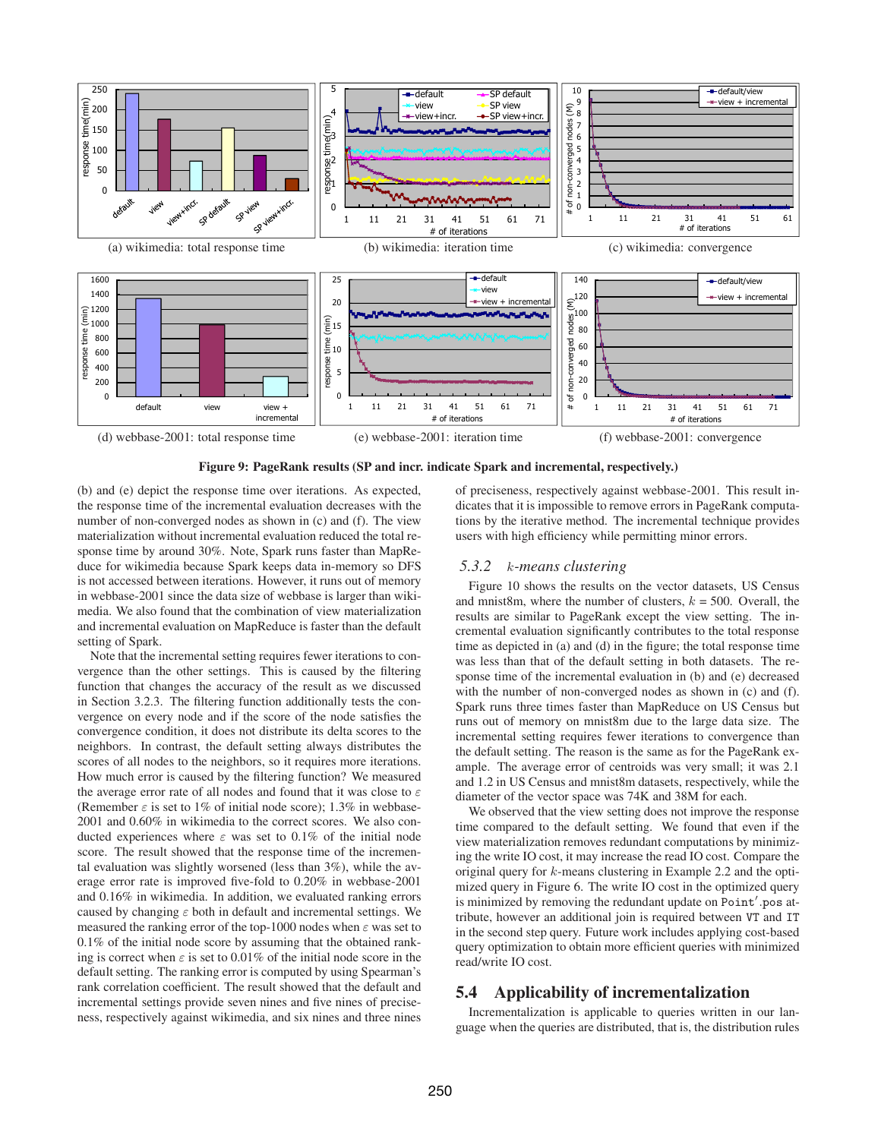

Figure 9: PageRank results (SP and incr. indicate Spark and incremental, respectively.)

(b) and (e) depict the response time over iterations. As expected, the response time of the incremental evaluation decreases with the number of non-converged nodes as shown in (c) and (f). The view materialization without incremental evaluation reduced the total response time by around 30%. Note, Spark runs faster than MapReduce for wikimedia because Spark keeps data in-memory so DFS is not accessed between iterations. However, it runs out of memory in webbase-2001 since the data size of webbase is larger than wikimedia. We also found that the combination of view materialization and incremental evaluation on MapReduce is faster than the default setting of Spark.

Note that the incremental setting requires fewer iterations to convergence than the other settings. This is caused by the filtering function that changes the accuracy of the result as we discussed in Section 3.2.3. The filtering function additionally tests the convergence on every node and if the score of the node satisfies the convergence condition, it does not distribute its delta scores to the neighbors. In contrast, the default setting always distributes the scores of all nodes to the neighbors, so it requires more iterations. How much error is caused by the filtering function? We measured the average error rate of all nodes and found that it was close to  $\varepsilon$ (Remember  $\varepsilon$  is set to 1% of initial node score); 1.3% in webbase-2001 and 0.60% in wikimedia to the correct scores. We also conducted experiences where  $\varepsilon$  was set to 0.1% of the initial node score. The result showed that the response time of the incremental evaluation was slightly worsened (less than 3%), while the average error rate is improved five-fold to 0.20% in webbase-2001 and 0.16% in wikimedia. In addition, we evaluated ranking errors caused by changing  $\varepsilon$  both in default and incremental settings. We measured the ranking error of the top-1000 nodes when  $\varepsilon$  was set to 0.1% of the initial node score by assuming that the obtained ranking is correct when  $\varepsilon$  is set to 0.01% of the initial node score in the default setting. The ranking error is computed by using Spearman's rank correlation coefficient. The result showed that the default and incremental settings provide seven nines and five nines of preciseness, respectively against wikimedia, and six nines and three nines

of preciseness, respectively against webbase-2001. This result indicates that it is impossible to remove errors in PageRank computations by the iterative method. The incremental technique provides users with high efficiency while permitting minor errors.

### *5.3.2* k*-means clustering*

Figure 10 shows the results on the vector datasets, US Census and mnist8m, where the number of clusters,  $k = 500$ . Overall, the results are similar to PageRank except the view setting. The incremental evaluation significantly contributes to the total response time as depicted in (a) and (d) in the figure; the total response time was less than that of the default setting in both datasets. The response time of the incremental evaluation in (b) and (e) decreased with the number of non-converged nodes as shown in (c) and (f). Spark runs three times faster than MapReduce on US Census but runs out of memory on mnist8m due to the large data size. The incremental setting requires fewer iterations to convergence than the default setting. The reason is the same as for the PageRank example. The average error of centroids was very small; it was 2.1 and 1.2 in US Census and mnist8m datasets, respectively, while the diameter of the vector space was 74K and 38M for each.

We observed that the view setting does not improve the response time compared to the default setting. We found that even if the view materialization removes redundant computations by minimizing the write IO cost, it may increase the read IO cost. Compare the original query for k-means clustering in Example 2.2 and the optimized query in Figure 6. The write IO cost in the optimized query is minimized by removing the redundant update on Point .pos attribute, however an additional join is required between VT and IT in the second step query. Future work includes applying cost-based query optimization to obtain more efficient queries with minimized read/write IO cost.

# 5.4 Applicability of incrementalization

Incrementalization is applicable to queries written in our language when the queries are distributed, that is, the distribution rules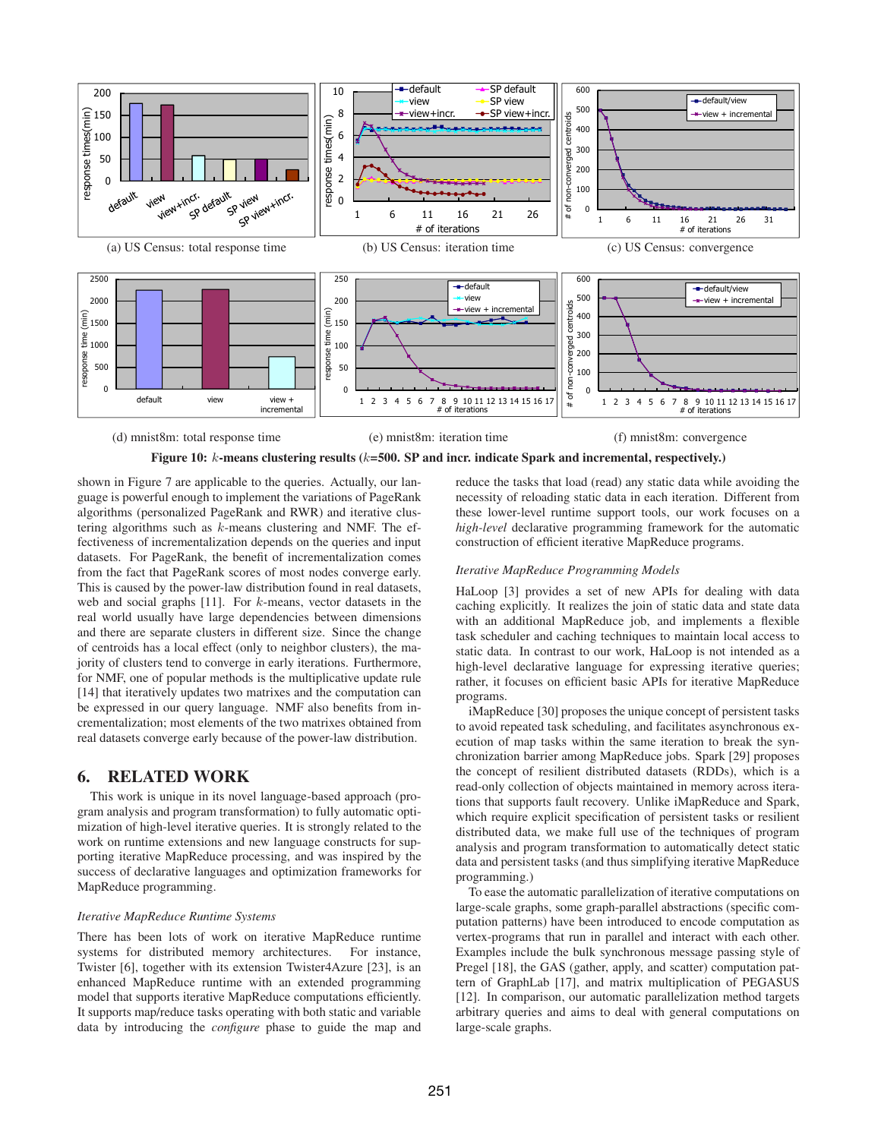

Figure 10:  $k$ -means clustering results ( $k=500$ . SP and incr. indicate Spark and incremental, respectively.)

shown in Figure 7 are applicable to the queries. Actually, our language is powerful enough to implement the variations of PageRank algorithms (personalized PageRank and RWR) and iterative clustering algorithms such as k-means clustering and NMF. The effectiveness of incrementalization depends on the queries and input datasets. For PageRank, the benefit of incrementalization comes from the fact that PageRank scores of most nodes converge early. This is caused by the power-law distribution found in real datasets, web and social graphs  $[11]$ . For k-means, vector datasets in the real world usually have large dependencies between dimensions and there are separate clusters in different size. Since the change of centroids has a local effect (only to neighbor clusters), the majority of clusters tend to converge in early iterations. Furthermore, for NMF, one of popular methods is the multiplicative update rule [14] that iteratively updates two matrixes and the computation can be expressed in our query language. NMF also benefits from incrementalization; most elements of the two matrixes obtained from real datasets converge early because of the power-law distribution.

# 6. RELATED WORK

This work is unique in its novel language-based approach (program analysis and program transformation) to fully automatic optimization of high-level iterative queries. It is strongly related to the work on runtime extensions and new language constructs for supporting iterative MapReduce processing, and was inspired by the success of declarative languages and optimization frameworks for MapReduce programming.

### *Iterative MapReduce Runtime Systems*

There has been lots of work on iterative MapReduce runtime systems for distributed memory architectures. For instance, Twister [6], together with its extension Twister4Azure [23], is an enhanced MapReduce runtime with an extended programming model that supports iterative MapReduce computations efficiently. It supports map/reduce tasks operating with both static and variable data by introducing the *configure* phase to guide the map and

reduce the tasks that load (read) any static data while avoiding the necessity of reloading static data in each iteration. Different from these lower-level runtime support tools, our work focuses on a *high-level* declarative programming framework for the automatic construction of efficient iterative MapReduce programs.

### *Iterative MapReduce Programming Models*

HaLoop [3] provides a set of new APIs for dealing with data caching explicitly. It realizes the join of static data and state data with an additional MapReduce job, and implements a flexible task scheduler and caching techniques to maintain local access to static data. In contrast to our work, HaLoop is not intended as a high-level declarative language for expressing iterative queries; rather, it focuses on efficient basic APIs for iterative MapReduce programs.

iMapReduce [30] proposes the unique concept of persistent tasks to avoid repeated task scheduling, and facilitates asynchronous execution of map tasks within the same iteration to break the synchronization barrier among MapReduce jobs. Spark [29] proposes the concept of resilient distributed datasets (RDDs), which is a read-only collection of objects maintained in memory across iterations that supports fault recovery. Unlike iMapReduce and Spark, which require explicit specification of persistent tasks or resilient distributed data, we make full use of the techniques of program analysis and program transformation to automatically detect static data and persistent tasks (and thus simplifying iterative MapReduce programming.)

To ease the automatic parallelization of iterative computations on large-scale graphs, some graph-parallel abstractions (specific computation patterns) have been introduced to encode computation as vertex-programs that run in parallel and interact with each other. Examples include the bulk synchronous message passing style of Pregel [18], the GAS (gather, apply, and scatter) computation pattern of GraphLab [17], and matrix multiplication of PEGASUS [12]. In comparison, our automatic parallelization method targets arbitrary queries and aims to deal with general computations on large-scale graphs.